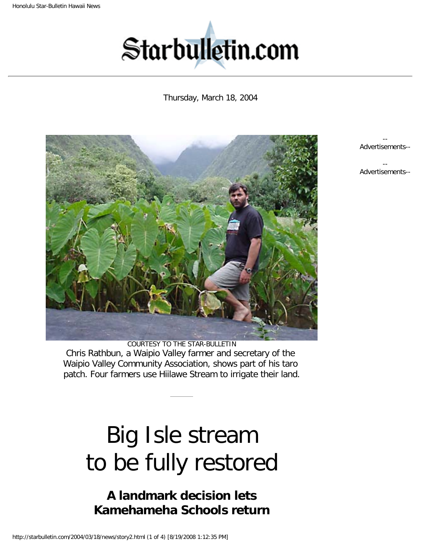<span id="page-0-1"></span><span id="page-0-0"></span>

## Thursday, March 18, 2004



COURTESY TO THE STAR-BULLETIN Chris Rathbun, a Waipio Valley farmer and secretary of the Waipio Valley Community Association, shows part of his taro patch. Four farmers use Hiilawe Stream to irrigate their land.

# Big Isle stream to be fully restored

## **A landmark decision lets Kamehameha Schools return**

http://starbulletin.com/2004/03/18/news/story2.html (1 of 4) [8/19/2008 1:12:35 PM]

-- Advertisements-- --

Advertisements--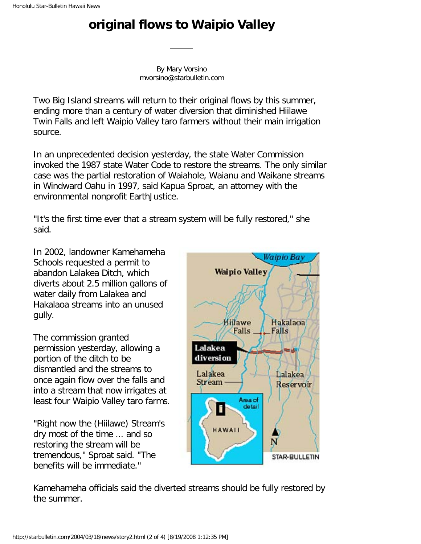## **original flows to Waipio Valley**

By Mary Vorsino [mvorsino@starbulletin.com](mailto:mvorsino@starbulletin.com?subject=http://starbulletin.com/2004/03/18/)

Two Big Island streams will return to their original flows by this summer, ending more than a century of water diversion that diminished Hiilawe Twin Falls and left Waipio Valley taro farmers without their main irrigation source.

In an unprecedented decision yesterday, the state Water Commission invoked the 1987 state Water Code to restore the streams. The only similar case was the partial restoration of Waiahole, Waianu and Waikane streams in Windward Oahu in 1997, said Kapua Sproat, an attorney with the environmental nonprofit EarthJustice.

"It's the first time ever that a stream system will be fully restored," she said.

In 2002, landowner Kamehameha Schools requested a permit to abandon Lalakea Ditch, which diverts about 2.5 million gallons of water daily from Lalakea and Hakalaoa streams into an unused gully.

The commission granted permission yesterday, allowing a portion of the ditch to be dismantled and the streams to once again flow over the falls and into a stream that now irrigates at least four Waipio Valley taro farms.

"Right now the (Hiilawe) Stream's dry most of the time ... and so restoring the stream will be tremendous," Sproat said. "The benefits will be immediate."



Kamehameha officials said the diverted streams should be fully restored by the summer.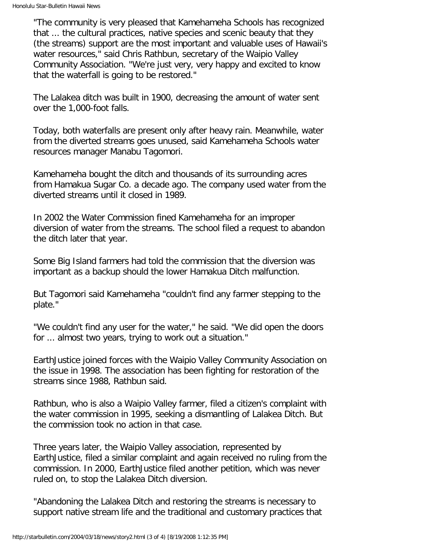"The community is very pleased that Kamehameha Schools has recognized that ... the cultural practices, native species and scenic beauty that they (the streams) support are the most important and valuable uses of Hawaii's water resources," said Chris Rathbun, secretary of the Waipio Valley Community Association. "We're just very, very happy and excited to know that the waterfall is going to be restored."

The Lalakea ditch was built in 1900, decreasing the amount of water sent over the 1,000-foot falls.

Today, both waterfalls are present only after heavy rain. Meanwhile, water from the diverted streams goes unused, said Kamehameha Schools water resources manager Manabu Tagomori.

Kamehameha bought the ditch and thousands of its surrounding acres from Hamakua Sugar Co. a decade ago. The company used water from the diverted streams until it closed in 1989.

In 2002 the Water Commission fined Kamehameha for an improper diversion of water from the streams. The school filed a request to abandon the ditch later that year.

Some Big Island farmers had told the commission that the diversion was important as a backup should the lower Hamakua Ditch malfunction.

But Tagomori said Kamehameha "couldn't find any farmer stepping to the plate."

"We couldn't find any user for the water," he said. "We did open the doors for ... almost two years, trying to work out a situation."

EarthJustice joined forces with the Waipio Valley Community Association on the issue in 1998. The association has been fighting for restoration of the streams since 1988, Rathbun said.

Rathbun, who is also a Waipio Valley farmer, filed a citizen's complaint with the water commission in 1995, seeking a dismantling of Lalakea Ditch. But the commission took no action in that case.

Three years later, the Waipio Valley association, represented by EarthJustice, filed a similar complaint and again received no ruling from the commission. In 2000, EarthJustice filed another petition, which was never ruled on, to stop the Lalakea Ditch diversion.

"Abandoning the Lalakea Ditch and restoring the streams is necessary to support native stream life and the traditional and customary practices that